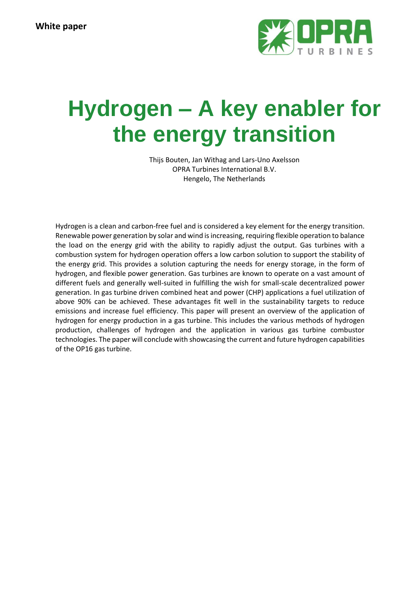

# **Hydrogen – A key enabler for the energy transition**

Thijs Bouten, Jan Withag and Lars-Uno Axelsson OPRA Turbines International B.V. Hengelo, The Netherlands

Hydrogen is a clean and carbon-free fuel and is considered a key element for the energy transition. Renewable power generation by solar and wind is increasing, requiring flexible operation to balance the load on the energy grid with the ability to rapidly adjust the output. Gas turbines with a combustion system for hydrogen operation offers a low carbon solution to support the stability of the energy grid. This provides a solution capturing the needs for energy storage, in the form of hydrogen, and flexible power generation. Gas turbines are known to operate on a vast amount of different fuels and generally well-suited in fulfilling the wish for small-scale decentralized power generation. In gas turbine driven combined heat and power (CHP) applications a fuel utilization of above 90% can be achieved. These advantages fit well in the sustainability targets to reduce emissions and increase fuel efficiency. This paper will present an overview of the application of hydrogen for energy production in a gas turbine. This includes the various methods of hydrogen production, challenges of hydrogen and the application in various gas turbine combustor technologies. The paper will conclude with showcasing the current and future hydrogen capabilities of the OP16 gas turbine.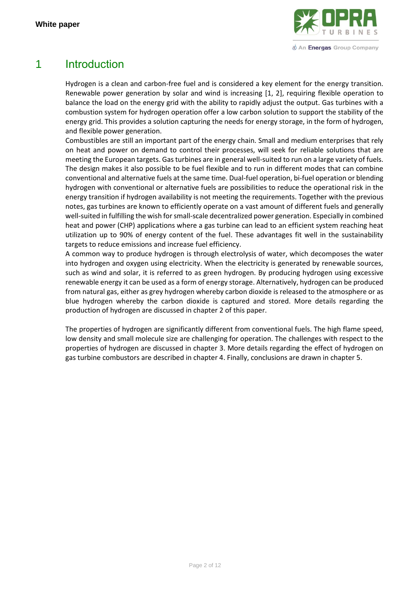

*<u>O* An Energas Group Company</u>

# 1 Introduction

Hydrogen is a clean and carbon-free fuel and is considered a key element for the energy transition. Renewable power generation by solar and wind is increasing [1, 2], requiring flexible operation to balance the load on the energy grid with the ability to rapidly adjust the output. Gas turbines with a combustion system for hydrogen operation offer a low carbon solution to support the stability of the energy grid. This provides a solution capturing the needs for energy storage, in the form of hydrogen, and flexible power generation.

Combustibles are still an important part of the energy chain. Small and medium enterprises that rely on heat and power on demand to control their processes, will seek for reliable solutions that are meeting the European targets. Gas turbines are in general well-suited to run on a large variety of fuels. The design makes it also possible to be fuel flexible and to run in different modes that can combine conventional and alternative fuels at the same time. Dual-fuel operation, bi-fuel operation or blending hydrogen with conventional or alternative fuels are possibilities to reduce the operational risk in the energy transition if hydrogen availability is not meeting the requirements. Together with the previous notes, gas turbines are known to efficiently operate on a vast amount of different fuels and generally well-suited in fulfilling the wish for small-scale decentralized power generation. Especially in combined heat and power (CHP) applications where a gas turbine can lead to an efficient system reaching heat utilization up to 90% of energy content of the fuel. These advantages fit well in the sustainability targets to reduce emissions and increase fuel efficiency.

A common way to produce hydrogen is through electrolysis of water, which decomposes the water into hydrogen and oxygen using electricity. When the electricity is generated by renewable sources, such as wind and solar, it is referred to as green hydrogen. By producing hydrogen using excessive renewable energy it can be used as a form of energy storage. Alternatively, hydrogen can be produced from natural gas, either as grey hydrogen whereby carbon dioxide is released to the atmosphere or as blue hydrogen whereby the carbon dioxide is captured and stored. More details regarding the production of hydrogen are discussed in chapter [2](#page-2-0) of this paper.

The properties of hydrogen are significantly different from conventional fuels. The high flame speed, low density and small molecule size are challenging for operation. The challenges with respect to the properties of hydrogen are discussed in chapter [3.](#page-6-0) More details regarding the effect of hydrogen on gas turbine combustors are described in chapte[r 4.](#page-7-0) Finally, conclusions are drawn in chapte[r 5.](#page-9-0)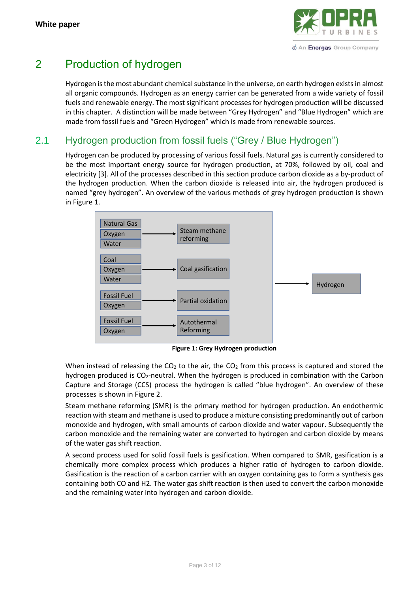

# <span id="page-2-0"></span>2 Production of hydrogen

Hydrogen is the most abundant chemical substance in the universe, on earth hydrogen exists in almost all organic compounds. Hydrogen as an energy carrier can be generated from a wide variety of fossil fuels and renewable energy. The most significant processes for hydrogen production will be discussed in this chapter. A distinction will be made between "Grey Hydrogen" and "Blue Hydrogen" which are made from fossil fuels and "Green Hydrogen" which is made from renewable sources.

## <span id="page-2-2"></span>2.1 Hydrogen production from fossil fuels ("Grey / Blue Hydrogen")

Hydrogen can be produced by processing of various fossil fuels. Natural gas is currently considered to be the most important energy source for hydrogen production, at 70%, followed by oil, coal and electricity [3]. All of the processes described in this section produce carbon dioxide as a by-product of the hydrogen production. When the carbon dioxide is released into air, the hydrogen produced is named "grey hydrogen". An overview of the various methods of grey hydrogen production is shown<br>in Figure 1 in [Figure 1.](#page-2-1)



**Figure 1: Grey Hydrogen production**

<span id="page-2-1"></span>When instead of releasing the  $CO<sub>2</sub>$  to the air, the  $CO<sub>2</sub>$  from this process is captured and stored the hydrogen produced is CO2-neutral. When the hydrogen is produced in combination with the Carbon Capture and Storage (CCS) process the hydrogen is called "blue hydrogen". An overview of these processes is shown i[n Figure 2.](#page-3-0)

Steam methane reforming (SMR) is the primary method for hydrogen production. An endothermic reaction with steam and methane is used to produce a mixture consisting predominantly out of carbon monoxide and hydrogen, with small amounts of carbon dioxide and water vapour. Subsequently the carbon monoxide and the remaining water are converted to hydrogen and carbon dioxide by means of the water gas shift reaction.

A second process used for solid fossil fuels is gasification. When compared to SMR, gasification is a chemically more complex process which produces a higher ratio of hydrogen to carbon dioxide. Gasification is the reaction of a carbon carrier with an oxygen containing gas to form a synthesis gas containing both CO and H2. The water gas shift reaction is then used to convert the carbon monoxide and the remaining water into hydrogen and carbon dioxide.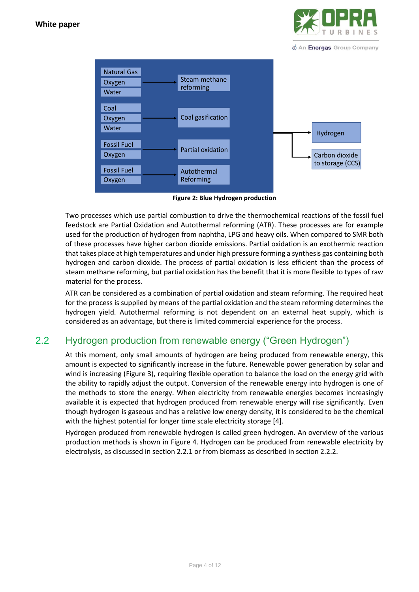

*<u>O</u>* An Energas Group Company



**Figure 2: Blue Hydrogen production**

<span id="page-3-0"></span>Two processes which use partial combustion to drive the thermochemical reactions of the fossil fuel feedstock are Partial Oxidation and Autothermal reforming (ATR). These processes are for example used for the production of hydrogen from naphtha, LPG and heavy oils. When compared to SMR both of these processes have higher carbon dioxide emissions. Partial oxidation is an exothermic reaction that takes place at high temperatures and under high pressure forming a synthesis gas containing both hydrogen and carbon dioxide. The process of partial oxidation is less efficient than the process of steam methane reforming, but partial oxidation has the benefit that it is more flexible to types of raw material for the process.

ATR can be considered as a combination of partial oxidation and steam reforming. The required heat for the process is supplied by means of the partial oxidation and the steam reforming determines the hydrogen yield. Autothermal reforming is not dependent on an external heat supply, which is considered as an advantage, but there is limited commercial experience for the process.

## 2.2 Hydrogen production from renewable energy ("Green Hydrogen")

At this moment, only small amounts of hydrogen are being produced from renewable energy, this amount is expected to significantly increase in the future. Renewable power generation by solar and wind is increasing [\(Figure 3\)](#page-4-0), requiring flexible operation to balance the load on the energy grid with the ability to rapidly adjust the output. Conversion of the renewable energy into hydrogen is one of the methods to store the energy. When electricity from renewable energies becomes increasingly available it is expected that hydrogen produced from renewable energy will rise significantly. Even though hydrogen is gaseous and has a relative low energy density, it is considered to be the chemical with the highest potential for longer time scale electricity storage [4].

Hydrogen produced from renewable hydrogen is called green hydrogen. An overview of the various production methods is shown in [Figure 4.](#page-4-1) Hydrogen can be produced from renewable electricity by electrolysis, as discussed in section [2.2.1](#page-4-2) or from biomass as described in section [2.2.2.](#page-5-0)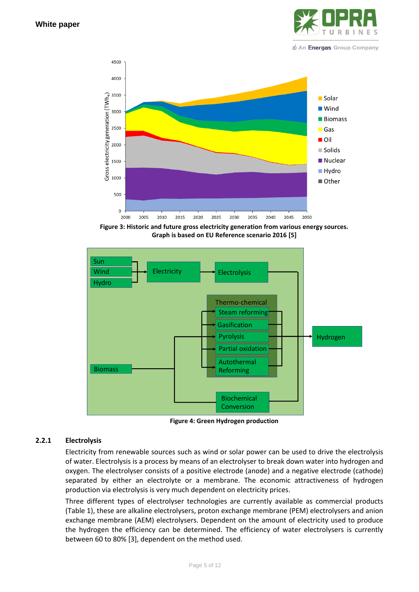

*<u>O</u>* An Energas Group Company



<span id="page-4-0"></span>Figure 3: Historic and future gross electricity generation from various energy sources.<br>Graph is based on EU Reference scenario 2016 [5] **Graph is based on EU Reference scenario 2016 [5]**



**Figure 4: Green Hydrogen production**

#### <span id="page-4-2"></span>**2.2.1 Electrolysis**

<span id="page-4-1"></span>Electricity from renewable sources such as wind or solar power can be used to drive the electrolysis of water. Electrolysis is a process by means of an electrolyser to break down water into hydrogen and oxygen. The electrolyser consists of a positive electrode (anode) and a negative electrode (cathode) separated by either an electrolyte or a membrane. The economic attractiveness of hydrogen production via electrolysis is very much dependent on electricity prices.

Three different types of electrolyser technologies are currently available as commercial products [\(Table 1\)](#page-5-1), these are alkaline electrolysers, proton exchange membrane (PEM) electrolysers and anion exchange membrane (AEM) electrolysers. Dependent on the amount of electricity used to produce the hydrogen the efficiency can be determined. The efficiency of water electrolysers is currently between 60 to 80% [3], dependent on the method used.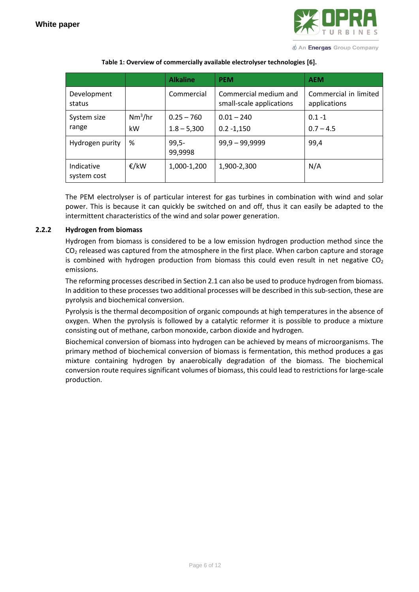

*<u>O* An Energas Group Company</u>

<span id="page-5-1"></span>

|                           |                 | <b>Alkaline</b>               | <b>PEM</b>                                        | <b>AEM</b>                            |  |
|---------------------------|-----------------|-------------------------------|---------------------------------------------------|---------------------------------------|--|
| Development<br>status     |                 | Commercial                    | Commercial medium and<br>small-scale applications | Commercial in limited<br>applications |  |
| System size<br>range      | $Nm^3/hr$<br>kW | $0.25 - 760$<br>$1.8 - 5,300$ | $0.01 - 240$<br>$0.2 - 1,150$                     | $0.1 - 1$<br>$0.7 - 4.5$              |  |
| Hydrogen purity           | %               | $99,5-$<br>99,9998            | $99,9 - 99,9999$                                  | 99,4                                  |  |
| Indicative<br>system cost | €/kW            | 1,000-1,200                   | 1,900-2,300                                       | N/A                                   |  |

**Table 1: Overview of commercially available electrolyser technologies [6].**

The PEM electrolyser is of particular interest for gas turbines in combination with wind and solar power. This is because it can quickly be switched on and off, thus it can easily be adapted to the intermittent characteristics of the wind and solar power generation.

#### <span id="page-5-0"></span>**2.2.2 Hydrogen from biomass**

Hydrogen from biomass is considered to be a low emission hydrogen production method since the  $CO<sub>2</sub>$  released was captured from the atmosphere in the first place. When carbon capture and storage is combined with hydrogen production from biomass this could even result in net negative  $CO<sub>2</sub>$ emissions.

The reforming processes described in Section [2.1](#page-2-2) can also be used to produce hydrogen from biomass. In addition to these processes two additional processes will be described in this sub-section, these are pyrolysis and biochemical conversion.

Pyrolysis is the thermal decomposition of organic compounds at high temperatures in the absence of oxygen. When the pyrolysis is followed by a catalytic reformer it is possible to produce a mixture consisting out of methane, carbon monoxide, carbon dioxide and hydrogen.

Biochemical conversion of biomass into hydrogen can be achieved by means of microorganisms. The primary method of biochemical conversion of biomass is fermentation, this method produces a gas mixture containing hydrogen by anaerobically degradation of the biomass. The biochemical conversion route requires significant volumes of biomass, this could lead to restrictions for large-scale production.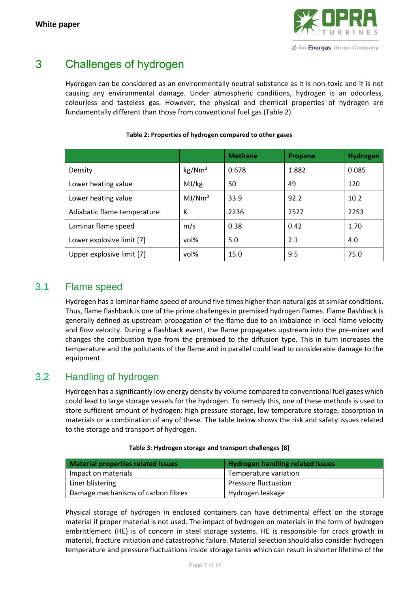

# <span id="page-6-0"></span>3 Challenges of hydrogen

Hydrogen can be considered as an environmentally neutral substance as it is non-toxic and it is not causing any environmental damage. Under atmospheric conditions, hydrogen is an odourless, colourless and tasteless gas. However, the physical and chemical properties of hydrogen are fundamentally different than those from conventional fuel gas [\(Table 2\)](#page-6-1).

<span id="page-6-1"></span>

|                             |                    | <b>Methane</b> | Propane | <b>Hydrogen</b> |
|-----------------------------|--------------------|----------------|---------|-----------------|
| Density                     | kg/Nm <sup>3</sup> | 0.678          | 1.882   | 0.085           |
| Lower heating value         | MJ/kg              | 50             | 49      | 120             |
| Lower heating value         | MJ/Nm <sup>3</sup> | 33.9           | 92.2    | 10.2            |
| Adiabatic flame temperature | К                  | 2236           | 2527    | 2253            |
| Laminar flame speed         | m/s                | 0.38           | 0.42    | 1.70            |
| Lower explosive limit [7]   | vol%               | 5.0            | 2.1     | 4.0             |
| Upper explosive limit [7]   | vol%               | 15.0           | 9.5     | 75.0            |

#### **Table 2: Properties of hydrogen compared to other gases**

#### 3.1 Flame speed

Hydrogen has a laminar flame speed of around five times higher than natural gas at similar conditions. Thus, flame flashback is one of the prime challenges in premixed hydrogen flames. Flame flashback is generally defined as upstream propagation of the flame due to an imbalance in local flame velocity and flow velocity. During a flashback event, the flame propagates upstream into the pre-mixer and changes the combustion type from the premixed to the diffusion type. This in turn increases the temperature and the pollutants of the flame and in parallel could lead to considerable damage to the equipment.

#### 3.2 Handling of hydrogen

Hydrogen has a significantly low energy density by volume compared to conventional fuel gases which could lead to large storage vessels for the hydrogen. To remedy this, one of these methods is used to store sufficient amount of hydrogen: high pressure storage, low temperature storage, absorption in materials or a combination of any of these. The table below shows the risk and safety issues related to the storage and transport of hydrogen.

| Material properties related issues | <b>Hydrogen handling related issues</b> |
|------------------------------------|-----------------------------------------|
| Impact on materials                | Temperature variation                   |
| Liner blistering                   | Pressure fluctuation                    |
|                                    |                                         |

#### **Table 3: Hydrogen storage and transport challenges [8]**

Damage mechanisms of carbon fibres **Hydrogen** leakage

Physical storage of hydrogen in enclosed containers can have detrimental effect on the storage material if proper material is not used. The impact of hydrogen on materials in the form of hydrogen embrittlement (HE) is of concern in steel storage systems. HE is responsible for crack growth in material, fracture initiation and catastrophic failure. Material selection should also consider hydrogen temperature and pressure fluctuations inside storage tanks which can result in shorter lifetime of the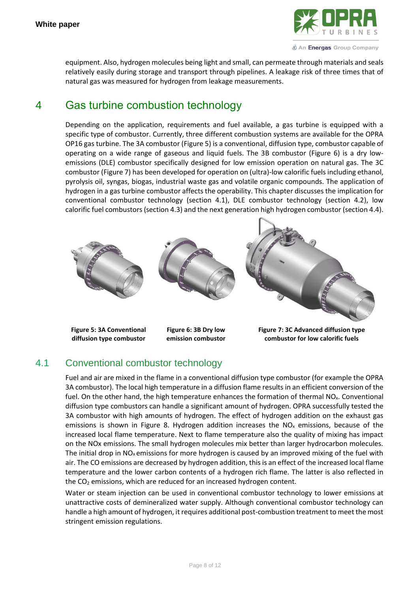

*<u>O* An Energas Group Company</u>

equipment. Also, hydrogen molecules being light and small, can permeate through materials and seals relatively easily during storage and transport through pipelines. A leakage risk of three times that of natural gas was measured for hydrogen from leakage measurements.

# <span id="page-7-0"></span>4 Gas turbine combustion technology

Depending on the application, requirements and fuel available, a gas turbine is equipped with a specific type of combustor. Currently, three different combustion systems are available for the OPRA OP16 gas turbine. The 3A combustor [\(Figure 5\)](#page-7-1) is a conventional, diffusion type, combustor capable of operating on a wide range of gaseous and liquid fuels. The 3B combustor [\(Figure 6\)](#page-7-2) is a dry lowemissions (DLE) combustor specifically designed for low emission operation on natural gas. The 3C combustor [\(Figure 7\)](#page-7-3) has been developed for operation on (ultra)-low calorific fuels including ethanol, pyrolysis oil, syngas, biogas, industrial waste gas and volatile organic compounds. The application of hydrogen in a gas turbine combustor affects the operability. This chapter discusses the implication for conventional combustor technology (section [4.1\)](#page-7-4), DLE combustor technology (section [4.2\)](#page-8-0), low calorific fuel combustors (section [4.3\)](#page-9-1) and the next generation high hydrogen combustor (section [4.4\)](#page-9-2).



<span id="page-7-1"></span>**Figure 5: 3A Conventional diffusion type combustor**

<span id="page-7-2"></span>**Figure 6: 3B Dry low emission combustor**

<span id="page-7-3"></span>**Figure 7: 3C Advanced diffusion type combustor for low calorific fuels**

## <span id="page-7-4"></span>4.1 Conventional combustor technology

Fuel and air are mixed in the flame in a conventional diffusion type combustor (for example the OPRA 3A combustor). The local high temperature in a diffusion flame results in an efficient conversion of the fuel. On the other hand, the high temperature enhances the formation of thermal  $NO<sub>x</sub>$ . Conventional diffusion type combustors can handle a significant amount of hydrogen. OPRA successfully tested the 3A combustor with high amounts of hydrogen. The effect of hydrogen addition on the exhaust gas emissions is shown in [Figure 8.](#page-8-1) Hydrogen addition increases the  $NO<sub>x</sub>$  emissions, because of the increased local flame temperature. Next to flame temperature also the quality of mixing has impact on the NOx emissions. The small hydrogen molecules mix better than larger hydrocarbon molecules. The initial drop in  $NO<sub>x</sub>$  emissions for more hydrogen is caused by an improved mixing of the fuel with air. The CO emissions are decreased by hydrogen addition, this is an effect of the increased local flame temperature and the lower carbon contents of a hydrogen rich flame. The latter is also reflected in the  $CO<sub>2</sub>$  emissions, which are reduced for an increased hydrogen content.

Water or steam injection can be used in conventional combustor technology to lower emissions at unattractive costs of demineralized water supply. Although conventional combustor technology can handle a high amount of hydrogen, it requires additional post-combustion treatment to meet the most stringent emission regulations.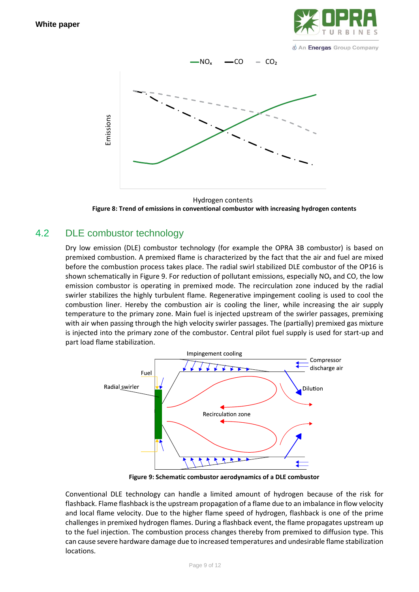

*I* An Energas Group Company



<span id="page-8-1"></span>**Figure 8: Trend of emissions in conventional combustor with increasing hydrogen contents** Hydrogen contents

#### <span id="page-8-0"></span>4.2 DLE combustor technology

Dry low emission (DLE) combustor technology (for example the OPRA 3B combustor) is based on premixed combustion. A premixed flame is characterized by the fact that the air and fuel are mixed before the combustion process takes place. The radial swirl stabilized DLE combustor of the OP16 is shown schematically in [Figure 9.](#page-8-2) For reduction of pollutant emissions, especially  $NO<sub>x</sub>$  and CO, the low emission combustor is operating in premixed mode. The recirculation zone induced by the radial swirler stabilizes the highly turbulent flame. Regenerative impingement cooling is used to cool the combustion liner. Hereby the combustion air is cooling the liner, while increasing the air supply temperature to the primary zone. Main fuel is injected upstream of the swirler passages, premixing with air when passing through the high velocity swirler passages. The (partially) premixed gas mixture is injected into the primary zone of the combustor. Central pilot fuel supply is used for start-up and part load flame stabilization.



**Figure 9: Schematic combustor aerodynamics of a DLE combustor**

<span id="page-8-2"></span>Conventional DLE technology can handle a limited amount of hydrogen because of the risk for flashback. Flame flashback is the upstream propagation of a flame due to an imbalance in flow velocity and local flame velocity. Due to the higher flame speed of hydrogen, flashback is one of the prime challenges in premixed hydrogen flames. During a flashback event, the flame propagates upstream up to the fuel injection. The combustion process changes thereby from premixed to diffusion type. This can cause severe hardware damage due to increased temperatures and undesirable flame stabilization locations.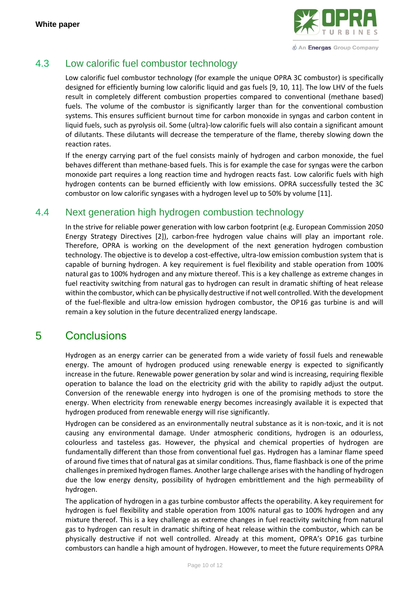

## <span id="page-9-1"></span>4.3 Low calorific fuel combustor technology

Low calorific fuel combustor technology (for example the unique OPRA 3C combustor) is specifically designed for efficiently burning low calorific liquid and gas fuels [9, 10, 11]. The low LHV of the fuels result in completely different combustion properties compared to conventional (methane based) fuels. The volume of the combustor is significantly larger than for the conventional combustion systems. This ensures sufficient burnout time for carbon monoxide in syngas and carbon content in liquid fuels, such as pyrolysis oil. Some (ultra)-low calorific fuels will also contain a significant amount of dilutants. These dilutants will decrease the temperature of the flame, thereby slowing down the reaction rates.

If the energy carrying part of the fuel consists mainly of hydrogen and carbon monoxide, the fuel behaves different than methane-based fuels. This is for example the case for syngas were the carbon monoxide part requires a long reaction time and hydrogen reacts fast. Low calorific fuels with high hydrogen contents can be burned efficiently with low emissions. OPRA successfully tested the 3C combustor on low calorific syngases with a hydrogen level up to 50% by volume [11].

#### <span id="page-9-2"></span>4.4 Next generation high hydrogen combustion technology

In the strive for reliable power generation with low carbon footprint (e.g. European Commission 2050 Energy Strategy Directives [2]), carbon-free hydrogen value chains will play an important role. Therefore, OPRA is working on the development of the next generation hydrogen combustion technology. The objective is to develop a cost-effective, ultra-low emission combustion system that is capable of burning hydrogen. A key requirement is fuel flexibility and stable operation from 100% natural gas to 100% hydrogen and any mixture thereof. This is a key challenge as extreme changes in fuel reactivity switching from natural gas to hydrogen can result in dramatic shifting of heat release within the combustor, which can be physically destructive if not well controlled. With the development of the fuel-flexible and ultra-low emission hydrogen combustor, the OP16 gas turbine is and will remain a key solution in the future decentralized energy landscape.

# <span id="page-9-0"></span>5 Conclusions

Hydrogen as an energy carrier can be generated from a wide variety of fossil fuels and renewable energy. The amount of hydrogen produced using renewable energy is expected to significantly increase in the future. Renewable power generation by solar and wind is increasing, requiring flexible operation to balance the load on the electricity grid with the ability to rapidly adjust the output. Conversion of the renewable energy into hydrogen is one of the promising methods to store the energy. When electricity from renewable energy becomes increasingly available it is expected that hydrogen produced from renewable energy will rise significantly.

Hydrogen can be considered as an environmentally neutral substance as it is non-toxic, and it is not causing any environmental damage. Under atmospheric conditions, hydrogen is an odourless, colourless and tasteless gas. However, the physical and chemical properties of hydrogen are fundamentally different than those from conventional fuel gas. Hydrogen has a laminar flame speed of around five times that of natural gas at similar conditions. Thus, flame flashback is one of the prime challenges in premixed hydrogen flames. Another large challenge arises with the handling of hydrogen due the low energy density, possibility of hydrogen embrittlement and the high permeability of hydrogen.

The application of hydrogen in a gas turbine combustor affects the operability. A key requirement for hydrogen is fuel flexibility and stable operation from 100% natural gas to 100% hydrogen and any mixture thereof. This is a key challenge as extreme changes in fuel reactivity switching from natural gas to hydrogen can result in dramatic shifting of heat release within the combustor, which can be physically destructive if not well controlled. Already at this moment, OPRA's OP16 gas turbine combustors can handle a high amount of hydrogen. However, to meet the future requirements OPRA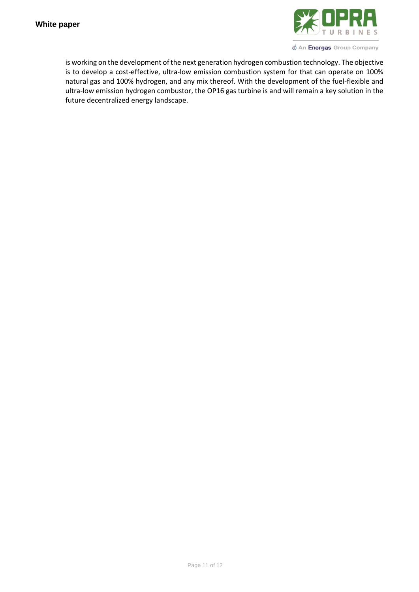

U An Energas Group Company

is working on the development of the next generation hydrogen combustion technology. The objective is to develop a cost-effective, ultra-low emission combustion system for that can operate on 100% natural gas and 100% hydrogen, and any mix thereof. With the development of the fuel-flexible and ultra-low emission hydrogen combustor, the OP16 gas turbine is and will remain a key solution in the future decentralized energy landscape.